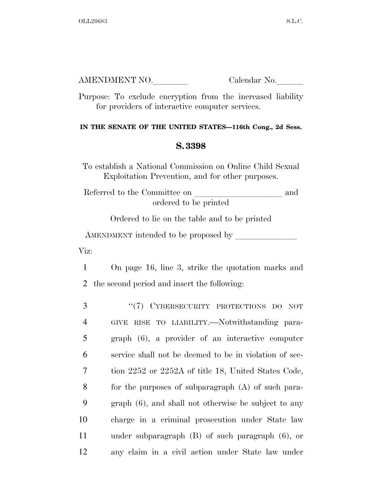| AMENDMENT NO. | Calendar No. |
|---------------|--------------|
|               |              |

Purpose: To exclude encryption from the increased liability for providers of interactive computer services.

## **IN THE SENATE OF THE UNITED STATES—116th Cong., 2d Sess.**

## **S. 3398**

To establish a National Commission on Online Child Sexual Exploitation Prevention, and for other purposes.

Referred to the Committee on  $\hfill$  and ordered to be printed

Ordered to lie on the table and to be printed

AMENDMENT intended to be proposed by

Viz:

1 On page 16, line 3, strike the quotation marks and 2 the second period and insert the following:

| 3              | "(7) CYBERSECURITY PROTECTIONS DO NOT                  |
|----------------|--------------------------------------------------------|
| $\overline{4}$ | GIVE RISE TO LIABILITY.—Notwithstanding para-          |
| 5              | graph (6), a provider of an interactive computer       |
| 6              | service shall not be deemed to be in violation of sec- |
| 7              | tion 2252 or 2252A of title 18, United States Code,    |
| 8              | for the purposes of subparagraph $(A)$ of such para-   |
| 9              | $graph(6)$ , and shall not otherwise be subject to any |
| 10             | charge in a criminal prosecution under State law       |
| 11             | under subparagraph $(B)$ of such paragraph $(6)$ , or  |
| 12             | any claim in a civil action under State law under      |